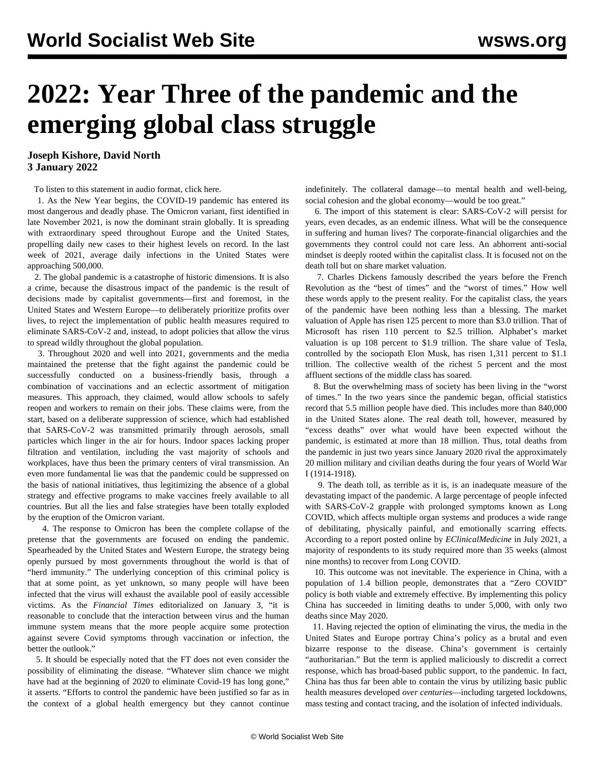# **2022: Year Three of the pandemic and the emerging global class struggle**

**Joseph Kishore, David North 3 January 2022**

To listen to this statement in audio format, [click here.](/en/special/podcast)

 1. As the New Year begins, the COVID-19 pandemic has entered its most dangerous and deadly phase. The Omicron variant, first identified in late November 2021, is now the dominant strain globally. It is spreading with extraordinary speed throughout Europe and the United States, propelling daily new cases to their highest levels on record. In the last week of 2021, average daily infections in the United States were approaching 500,000.

 2. The global pandemic is a catastrophe of historic dimensions. It is also a crime, because the disastrous impact of the pandemic is the result of decisions made by capitalist governments—first and foremost, in the United States and Western Europe—to deliberately prioritize profits over lives, to reject the implementation of public health measures required to eliminate SARS-CoV-2 and, instead, to adopt policies that allow the virus to spread wildly throughout the global population.

 3. Throughout 2020 and well into 2021, governments and the media maintained the pretense that the fight against the pandemic could be successfully conducted on a business-friendly basis, through a combination of vaccinations and an eclectic assortment of mitigation measures. This approach, they claimed, would allow schools to safely reopen and workers to remain on their jobs. These claims were, from the start, based on a deliberate suppression of science, which had established that SARS-CoV-2 was transmitted primarily through aerosols, small particles which linger in the air for hours. Indoor spaces lacking proper filtration and ventilation, including the vast majority of schools and workplaces, have thus been the primary centers of viral transmission. An even more fundamental lie was that the pandemic could be suppressed on the basis of national initiatives, thus legitimizing the absence of a global strategy and effective programs to make vaccines freely available to all countries. But all the lies and false strategies have been totally exploded by the eruption of the Omicron variant.

 4. The response to Omicron has been the complete collapse of the pretense that the governments are focused on ending the pandemic. Spearheaded by the United States and Western Europe, the strategy being openly pursued by most governments throughout the world is that of "herd immunity." The underlying conception of this criminal policy is that at some point, as yet unknown, so many people will have been infected that the virus will exhaust the available pool of easily accessible victims. As the *Financial Times* editorialized on January 3, "it is reasonable to conclude that the interaction between virus and the human immune system means that the more people acquire some protection against severe Covid symptoms through vaccination or infection, the better the outlook."

 5. It should be especially noted that the FT does not even consider the possibility of eliminating the disease. "Whatever slim chance we might have had at the beginning of 2020 to eliminate Covid-19 has long gone," it asserts. "Efforts to control the pandemic have been justified so far as in the context of a global health emergency but they cannot continue

indefinitely. The collateral damage—to mental health and well-being, social cohesion and the global economy—would be too great."

 6. The import of this statement is clear: SARS-CoV-2 will persist for years, even decades, as an endemic illness. What will be the consequence in suffering and human lives? The corporate-financial oligarchies and the governments they control could not care less. An abhorrent anti-social mindset is deeply rooted within the capitalist class. It is focused not on the death toll but on share market valuation.

 7. Charles Dickens famously described the years before the French Revolution as the "best of times" and the "worst of times." How well these words apply to the present reality. For the capitalist class, the years of the pandemic have been nothing less than a blessing. The market valuation of Apple has risen 125 percent to more than \$3.0 trillion. That of Microsoft has risen 110 percent to \$2.5 trillion. Alphabet's market valuation is up 108 percent to \$1.9 trillion. The share value of Tesla, controlled by the sociopath Elon Musk, has risen 1,311 percent to \$1.1 trillion. The collective wealth of the richest 5 percent and the most affluent sections of the middle class has soared.

 8. But the overwhelming mass of society has been living in the "worst of times." In the two years since the pandemic began, official statistics record that 5.5 million people have died. This includes more than 840,000 in the United States alone. The real death toll, however, measured by "excess deaths" over what would have been expected without the pandemic, is estimated at more than 18 million. Thus, total deaths from the pandemic in just two years since January 2020 rival the approximately 20 million military and civilian deaths during the four years of World War I (1914-1918).

 9. The death toll, as terrible as it is, is an inadequate measure of the devastating impact of the pandemic. A large percentage of people infected with SARS-CoV-2 grapple with prolonged symptoms known as Long COVID, which affects multiple organ systems and produces a wide range of debilitating, physically painful, and emotionally scarring effects. According to a report posted online by *EClinicalMedicine* in July 2021, a majority of respondents to its study required more than 35 weeks (almost nine months) to recover from Long COVID.

 10. This outcome was not inevitable. The experience in China, with a population of 1.4 billion people, demonstrates that a "Zero COVID" policy is both viable and extremely effective. By implementing this policy China has succeeded in limiting deaths to under 5,000, with only two deaths since May 2020.

 11. Having rejected the option of eliminating the virus, the media in the United States and Europe portray China's policy as a brutal and even bizarre response to the disease. China's government is certainly "authoritarian." But the term is applied maliciously to discredit a correct response, which has broad-based public support, to the pandemic. In fact, China has thus far been able to contain the virus by utilizing basic public health measures developed *over centuries*—including targeted lockdowns, mass testing and contact tracing, and the isolation of infected individuals.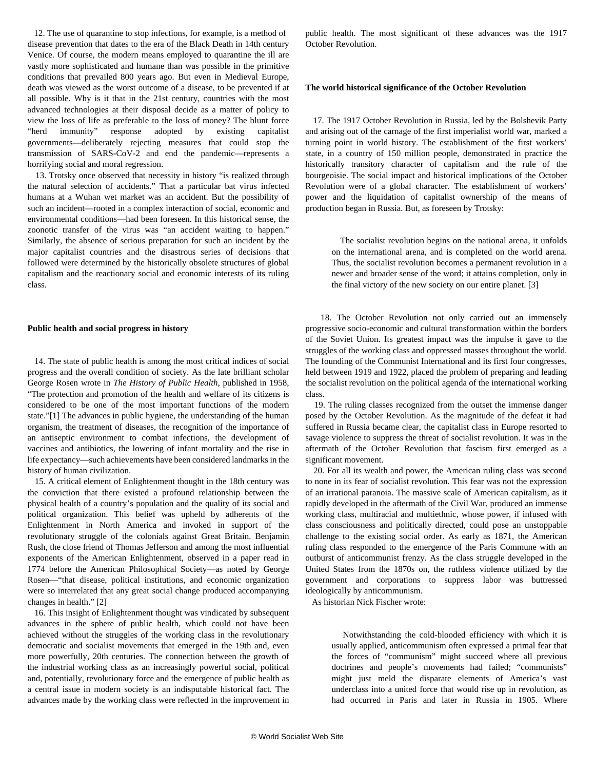12. The use of quarantine to stop infections, for example, is a method of disease prevention that dates to the era of the Black Death in 14th century Venice. Of course, the modern means employed to quarantine the ill are vastly more sophisticated and humane than was possible in the primitive conditions that prevailed 800 years ago. But even in Medieval Europe, death was viewed as the worst outcome of a disease, to be prevented if at all possible. Why is it that in the 21st century, countries with the most advanced technologies at their disposal decide as a matter of policy to view the loss of life as preferable to the loss of money? The blunt force "herd immunity" response adopted by existing capitalist governments—deliberately rejecting measures that could stop the transmission of SARS-CoV-2 and end the pandemic—represents a horrifying social and moral regression.

 13. Trotsky once observed that necessity in history "is realized through the natural selection of accidents." That a particular bat virus infected humans at a Wuhan wet market was an accident. But the possibility of such an incident—rooted in a complex interaction of social, economic and environmental conditions—had been foreseen. In this historical sense, the zoonotic transfer of the virus was "an accident waiting to happen." Similarly, the absence of serious preparation for such an incident by the major capitalist countries and the disastrous series of decisions that followed were determined by the historically obsolete structures of global capitalism and the reactionary social and economic interests of its ruling class.

### **Public health and social progress in history**

 14. The state of public health is among the most critical indices of social progress and the overall condition of society. As the late brilliant scholar George Rosen wrote in *The History of Public Health*, published in 1958, "The protection and promotion of the health and welfare of its citizens is considered to be one of the most important functions of the modern state."[1] The advances in public hygiene, the understanding of the human organism, the treatment of diseases, the recognition of the importance of an antiseptic environment to combat infections, the development of vaccines and antibiotics, the lowering of infant mortality and the rise in life expectancy—such achievements have been considered landmarks in the history of human civilization.

 15. A critical element of Enlightenment thought in the 18th century was the conviction that there existed a profound relationship between the physical health of a country's population and the quality of its social and political organization. This belief was upheld by adherents of the Enlightenment in North America and invoked in support of the revolutionary struggle of the colonials against Great Britain. Benjamin Rush, the close friend of Thomas Jefferson and among the most influential exponents of the American Enlightenment, observed in a paper read in 1774 before the American Philosophical Society—as noted by George Rosen—"that disease, political institutions, and economic organization were so interrelated that any great social change produced accompanying changes in health." [2]

 16. This insight of Enlightenment thought was vindicated by subsequent advances in the sphere of public health, which could not have been achieved without the struggles of the working class in the revolutionary democratic and socialist movements that emerged in the 19th and, even more powerfully, 20th centuries. The connection between the growth of the industrial working class as an increasingly powerful social, political and, potentially, revolutionary force and the emergence of public health as a central issue in modern society is an indisputable historical fact. The advances made by the working class were reflected in the improvement in public health. The most significant of these advances was the 1917 October Revolution.

#### **The world historical significance of the October Revolution**

 17. The 1917 October Revolution in Russia, led by the Bolshevik Party and arising out of the carnage of the first imperialist world war, marked a turning point in world history. The establishment of the first workers' state, in a country of 150 million people, demonstrated in practice the historically transitory character of capitalism and the rule of the bourgeoisie. The social impact and historical implications of the October Revolution were of a global character. The establishment of workers' power and the liquidation of capitalist ownership of the means of production began in Russia. But, as foreseen by Trotsky:

 The socialist revolution begins on the national arena, it unfolds on the international arena, and is completed on the world arena. Thus, the socialist revolution becomes a permanent revolution in a newer and broader sense of the word; it attains completion, only in the final victory of the new society on our entire planet. [3]

 18. The October Revolution not only carried out an immensely progressive socio-economic and cultural transformation within the borders of the Soviet Union. Its greatest impact was the impulse it gave to the struggles of the working class and oppressed masses throughout the world. The founding of the Communist International and its first four congresses, held between 1919 and 1922, placed the problem of preparing and leading the socialist revolution on the political agenda of the international working class.

 19. The ruling classes recognized from the outset the immense danger posed by the October Revolution. As the magnitude of the defeat it had suffered in Russia became clear, the capitalist class in Europe resorted to savage violence to suppress the threat of socialist revolution. It was in the aftermath of the October Revolution that fascism first emerged as a significant movement.

 20. For all its wealth and power, the American ruling class was second to none in its fear of socialist revolution. This fear was not the expression of an irrational paranoia. The massive scale of American capitalism, as it rapidly developed in the aftermath of the Civil War, produced an immense working class, multiracial and multiethnic, whose power, if infused with class consciousness and politically directed, could pose an unstoppable challenge to the existing social order. As early as 1871, the American ruling class responded to the emergence of the Paris Commune with an outburst of anticommunist frenzy. As the class struggle developed in the United States from the 1870s on, the ruthless violence utilized by the government and corporations to suppress labor was buttressed ideologically by anticommunism.

As historian Nick Fischer wrote:

 Notwithstanding the cold-blooded efficiency with which it is usually applied, anticommunism often expressed a primal fear that the forces of "communism" might succeed where all previous doctrines and people's movements had failed; "communists" might just meld the disparate elements of America's vast underclass into a united force that would rise up in revolution, as had occurred in Paris and later in Russia in 1905. Where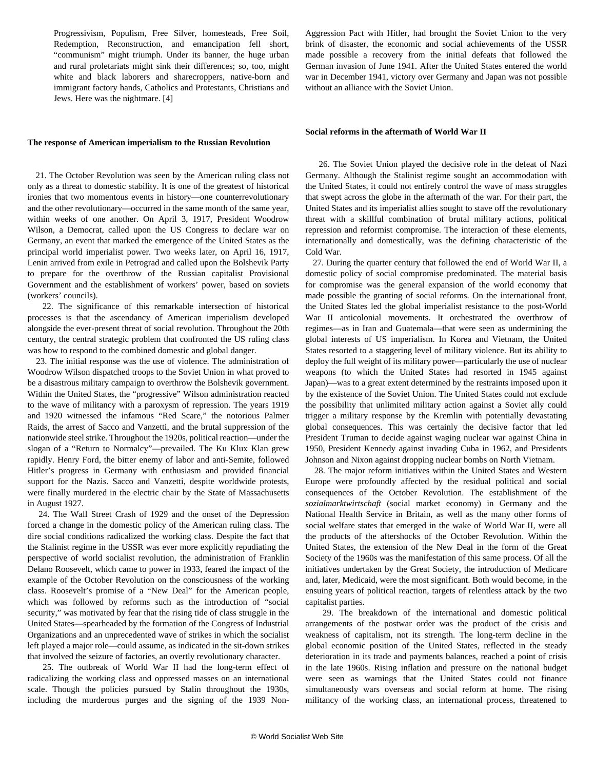Progressivism, Populism, Free Silver, homesteads, Free Soil, Redemption, Reconstruction, and emancipation fell short, "communism" might triumph. Under its banner, the huge urban and rural proletariats might sink their differences; so, too, might white and black laborers and sharecroppers, native-born and immigrant factory hands, Catholics and Protestants, Christians and Jews. Here was the nightmare. [4]

#### **The response of American imperialism to the Russian Revolution**

 21. The October Revolution was seen by the American ruling class not only as a threat to domestic stability. It is one of the greatest of historical ironies that two momentous events in history—one counterrevolutionary and the other revolutionary—occurred in the same month of the same year, within weeks of one another. On April 3, 1917, President Woodrow Wilson, a Democrat, called upon the US Congress to declare war on Germany, an event that marked the emergence of the United States as the principal world imperialist power. Two weeks later, on April 16, 1917, Lenin arrived from exile in Petrograd and called upon the Bolshevik Party to prepare for the overthrow of the Russian capitalist Provisional Government and the establishment of workers' power, based on soviets (workers' councils).

 22. The significance of this remarkable intersection of historical processes is that the ascendancy of American imperialism developed alongside the ever-present threat of social revolution. Throughout the 20th century, the central strategic problem that confronted the US ruling class was how to respond to the combined domestic and global danger.

 23. The initial response was the use of violence. The administration of Woodrow Wilson dispatched troops to the Soviet Union in what proved to be a disastrous military campaign to overthrow the Bolshevik government. Within the United States, the "progressive" Wilson administration reacted to the wave of militancy with a paroxysm of repression. The years 1919 and 1920 witnessed the infamous "Red Scare," the notorious Palmer Raids, the arrest of Sacco and Vanzetti, and the brutal suppression of the nationwide steel strike. Throughout the 1920s, political reaction—under the slogan of a "Return to Normalcy"—prevailed. The Ku Klux Klan grew rapidly. Henry Ford, the bitter enemy of labor and anti-Semite, followed Hitler's progress in Germany with enthusiasm and provided financial support for the Nazis. Sacco and Vanzetti, despite worldwide protests, were finally murdered in the electric chair by the State of Massachusetts in August 1927.

 24. The Wall Street Crash of 1929 and the onset of the Depression forced a change in the domestic policy of the American ruling class. The dire social conditions radicalized the working class. Despite the fact that the Stalinist regime in the USSR was ever more explicitly repudiating the perspective of world socialist revolution, the administration of Franklin Delano Roosevelt, which came to power in 1933, feared the impact of the example of the October Revolution on the consciousness of the working class. Roosevelt's promise of a "New Deal" for the American people, which was followed by reforms such as the introduction of "social security," was motivated by fear that the rising tide of class struggle in the United States—spearheaded by the formation of the Congress of Industrial Organizations and an unprecedented wave of strikes in which the socialist left played a major role—could assume, as indicated in the sit-down strikes that involved the seizure of factories, an overtly revolutionary character.

 25. The outbreak of World War II had the long-term effect of radicalizing the working class and oppressed masses on an international scale. Though the policies pursued by Stalin throughout the 1930s, including the murderous purges and the signing of the 1939 NonAggression Pact with Hitler, had brought the Soviet Union to the very brink of disaster, the economic and social achievements of the USSR made possible a recovery from the initial defeats that followed the German invasion of June 1941. After the United States entered the world war in December 1941, victory over Germany and Japan was not possible without an alliance with the Soviet Union.

#### **Social reforms in the aftermath of World War II**

 26. The Soviet Union played the decisive role in the defeat of Nazi Germany. Although the Stalinist regime sought an accommodation with the United States, it could not entirely control the wave of mass struggles that swept across the globe in the aftermath of the war. For their part, the United States and its imperialist allies sought to stave off the revolutionary threat with a skillful combination of brutal military actions, political repression and reformist compromise. The interaction of these elements, internationally and domestically, was the defining characteristic of the Cold War.

 27. During the quarter century that followed the end of World War II, a domestic policy of social compromise predominated. The material basis for compromise was the general expansion of the world economy that made possible the granting of social reforms. On the international front, the United States led the global imperialist resistance to the post-World War II anticolonial movements. It orchestrated the overthrow of regimes—as in Iran and Guatemala—that were seen as undermining the global interests of US imperialism. In Korea and Vietnam, the United States resorted to a staggering level of military violence. But its ability to deploy the full weight of its military power—particularly the use of nuclear weapons (to which the United States had resorted in 1945 against Japan)—was to a great extent determined by the restraints imposed upon it by the existence of the Soviet Union. The United States could not exclude the possibility that unlimited military action against a Soviet ally could trigger a military response by the Kremlin with potentially devastating global consequences. This was certainly the decisive factor that led President Truman to decide against waging nuclear war against China in 1950, President Kennedy against invading Cuba in 1962, and Presidents Johnson and Nixon against dropping nuclear bombs on North Vietnam.

 28. The major reform initiatives within the United States and Western Europe were profoundly affected by the residual political and social consequences of the October Revolution. The establishment of the *sozialmarktwirtschaft* (social market economy) in Germany and the National Health Service in Britain, as well as the many other forms of social welfare states that emerged in the wake of World War II, were all the products of the aftershocks of the October Revolution. Within the United States, the extension of the New Deal in the form of the Great Society of the 1960s was the manifestation of this same process. Of all the initiatives undertaken by the Great Society, the introduction of Medicare and, later, Medicaid, were the most significant. Both would become, in the ensuing years of political reaction, targets of relentless attack by the two capitalist parties.

 29. The breakdown of the international and domestic political arrangements of the postwar order was the product of the crisis and weakness of capitalism, not its strength. The long-term decline in the global economic position of the United States, reflected in the steady deterioration in its trade and payments balances, reached a point of crisis in the late 1960s. Rising inflation and pressure on the national budget were seen as warnings that the United States could not finance simultaneously wars overseas and social reform at home. The rising militancy of the working class, an international process, threatened to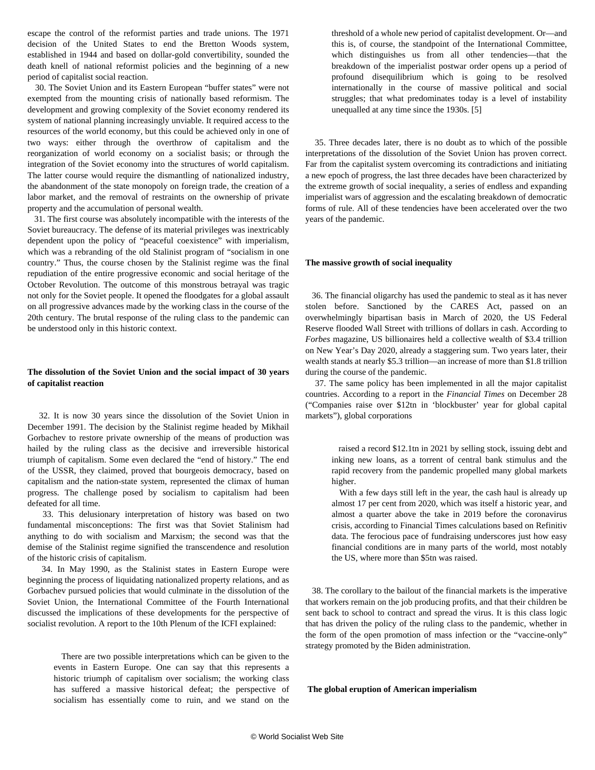escape the control of the reformist parties and trade unions. The 1971 decision of the United States to end the Bretton Woods system, established in 1944 and based on dollar-gold convertibility, sounded the death knell of national reformist policies and the beginning of a new period of capitalist social reaction.

 30. The Soviet Union and its Eastern European "buffer states" were not exempted from the mounting crisis of nationally based reformism. The development and growing complexity of the Soviet economy rendered its system of national planning increasingly unviable. It required access to the resources of the world economy, but this could be achieved only in one of two ways: either through the overthrow of capitalism and the reorganization of world economy on a socialist basis; or through the integration of the Soviet economy into the structures of world capitalism. The latter course would require the dismantling of nationalized industry, the abandonment of the state monopoly on foreign trade, the creation of a labor market, and the removal of restraints on the ownership of private property and the accumulation of personal wealth.

 31. The first course was absolutely incompatible with the interests of the Soviet bureaucracy. The defense of its material privileges was inextricably dependent upon the policy of "peaceful coexistence" with imperialism, which was a rebranding of the old Stalinist program of "socialism in one country." Thus, the course chosen by the Stalinist regime was the final repudiation of the entire progressive economic and social heritage of the October Revolution. The outcome of this monstrous betrayal was tragic not only for the Soviet people. It opened the floodgates for a global assault on all progressive advances made by the working class in the course of the 20th century. The brutal response of the ruling class to the pandemic can be understood only in this historic context.

## **The dissolution of the Soviet Union and the social impact of 30 years of capitalist reaction**

 32. It is now 30 years since the dissolution of the Soviet Union in December 1991. The decision by the Stalinist regime headed by Mikhail Gorbachev to restore private ownership of the means of production was hailed by the ruling class as the decisive and irreversible historical triumph of capitalism. Some even declared the "end of history." The end of the USSR, they claimed, proved that bourgeois democracy, based on capitalism and the nation-state system, represented the climax of human progress. The challenge posed by socialism to capitalism had been defeated for all time.

 33. This delusionary interpretation of history was based on two fundamental misconceptions: The first was that Soviet Stalinism had anything to do with socialism and Marxism; the second was that the demise of the Stalinist regime signified the transcendence and resolution of the historic crisis of capitalism.

 34. In May 1990, as the Stalinist states in Eastern Europe were beginning the process of liquidating nationalized property relations, and as Gorbachev pursued policies that would culminate in the dissolution of the Soviet Union, the International Committee of the Fourth International discussed the implications of these developments for the perspective of socialist revolution. A report to the 10th Plenum of the ICFI explained:

 There are two possible interpretations which can be given to the events in Eastern Europe. One can say that this represents a historic triumph of capitalism over socialism; the working class has suffered a massive historical defeat; the perspective of socialism has essentially come to ruin, and we stand on the threshold of a whole new period of capitalist development. Or—and this is, of course, the standpoint of the International Committee, which distinguishes us from all other tendencies—that the breakdown of the imperialist postwar order opens up a period of profound disequilibrium which is going to be resolved internationally in the course of massive political and social struggles; that what predominates today is a level of instability unequalled at any time since the 1930s. [5]

 35. Three decades later, there is no doubt as to which of the possible interpretations of the dissolution of the Soviet Union has proven correct. Far from the capitalist system overcoming its contradictions and initiating a new epoch of progress, the last three decades have been characterized by the extreme growth of social inequality, a series of endless and expanding imperialist wars of aggression and the escalating breakdown of democratic forms of rule. All of these tendencies have been accelerated over the two years of the pandemic.

#### **The massive growth of social inequality**

 36. The financial oligarchy has used the pandemic to steal as it has never stolen before. Sanctioned by the CARES Act, passed on an overwhelmingly bipartisan basis in March of 2020, the US Federal Reserve flooded Wall Street with trillions of dollars in cash. According to *Forbes* magazine, US billionaires held a collective wealth of \$3.4 trillion on New Year's Day 2020, already a staggering sum. Two years later, their wealth stands at nearly \$5.3 trillion—an increase of more than \$1.8 trillion during the course of the pandemic.

 37. The same policy has been implemented in all the major capitalist countries. According to a report in the *Financial Times* on December 28 ("Companies raise over \$12tn in 'blockbuster' year for global capital markets"), global corporations

 raised a record \$12.1tn in 2021 by selling stock, issuing debt and inking new loans, as a torrent of central bank stimulus and the rapid recovery from the pandemic propelled many global markets higher.

 With a few days still left in the year, the cash haul is already up almost 17 per cent from 2020, which was itself a historic year, and almost a quarter above the take in 2019 before the coronavirus crisis, according to Financial Times calculations based on Refinitiv data. The ferocious pace of fundraising underscores just how easy financial conditions are in many parts of the world, most notably the US, where more than \$5tn was raised.

 38. The corollary to the bailout of the financial markets is the imperative that workers remain on the job producing profits, and that their children be sent back to school to contract and spread the virus. It is this class logic that has driven the policy of the ruling class to the pandemic, whether in the form of the open promotion of mass infection or the "vaccine-only" strategy promoted by the Biden administration.

 **The global eruption of American imperialism**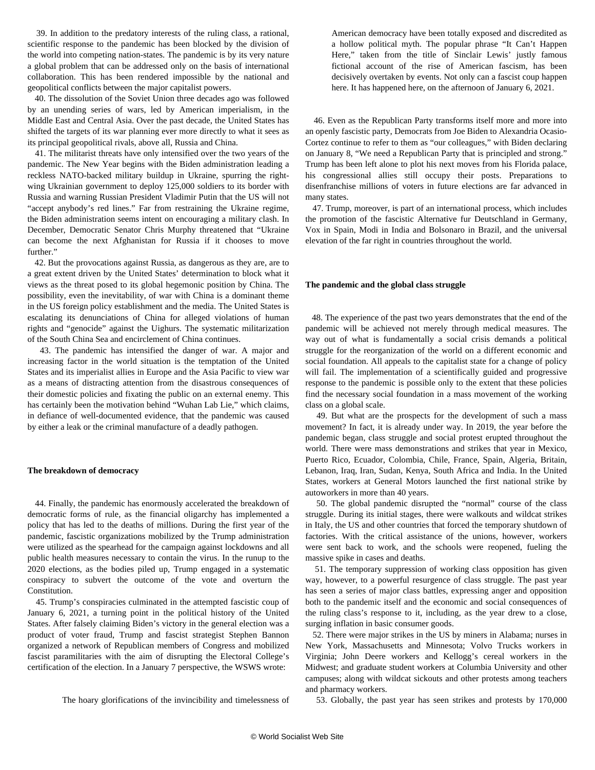39. In addition to the predatory interests of the ruling class, a rational, scientific response to the pandemic has been blocked by the division of the world into competing nation-states. The pandemic is by its very nature a global problem that can be addressed only on the basis of international collaboration. This has been rendered impossible by the national and geopolitical conflicts between the major capitalist powers.

 40. The dissolution of the Soviet Union three decades ago was followed by an unending series of wars, led by American imperialism, in the Middle East and Central Asia. Over the past decade, the United States has shifted the targets of its war planning ever more directly to what it sees as its principal geopolitical rivals, above all, Russia and China.

 41. The militarist threats have only intensified over the two years of the pandemic. The New Year begins with the Biden administration leading a reckless NATO-backed military buildup in Ukraine, spurring the rightwing Ukrainian government to deploy 125,000 soldiers to its border with Russia and warning Russian President Vladimir Putin that the US will not "accept anybody's red lines." Far from restraining the Ukraine regime, the Biden administration seems intent on encouraging a military clash. In December, Democratic Senator Chris Murphy threatened that "Ukraine can become the next Afghanistan for Russia if it chooses to move further."

 42. But the provocations against Russia, as dangerous as they are, are to a great extent driven by the United States' determination to block what it views as the threat posed to its global hegemonic position by China. The possibility, even the inevitability, of war with China is a dominant theme in the US foreign policy establishment and the media. The United States is escalating its denunciations of China for alleged violations of human rights and "genocide" against the Uighurs. The systematic militarization of the South China Sea and encirclement of China continues.

 43. The pandemic has intensified the danger of war. A major and increasing factor in the world situation is the temptation of the United States and its imperialist allies in Europe and the Asia Pacific to view war as a means of distracting attention from the disastrous consequences of their domestic policies and fixating the public on an external enemy. This has certainly been the motivation behind "Wuhan Lab Lie," which claims, in defiance of well-documented evidence, that the pandemic was caused by either a leak or the criminal manufacture of a deadly pathogen.

#### **The breakdown of democracy**

 44. Finally, the pandemic has enormously accelerated the breakdown of democratic forms of rule, as the financial oligarchy has implemented a policy that has led to the deaths of millions. During the first year of the pandemic, fascistic organizations mobilized by the Trump administration were utilized as the spearhead for the campaign against lockdowns and all public health measures necessary to contain the virus. In the runup to the 2020 elections, as the bodies piled up, Trump engaged in a systematic conspiracy to subvert the outcome of the vote and overturn the Constitution.

 45. Trump's conspiracies culminated in the attempted fascistic coup of January 6, 2021, a turning point in the political history of the United States. After falsely claiming Biden's victory in the general election was a product of voter fraud, Trump and fascist strategist Stephen Bannon organized a network of Republican members of Congress and mobilized fascist paramilitaries with the aim of disrupting the Electoral College's certification of the election. In a January 7 [perspective](/en/articles/2021/01/07/pers-j07.html), the WSWS wrote:

The hoary glorifications of the invincibility and timelessness of

American democracy have been totally exposed and discredited as a hollow political myth. The popular phrase "It Can't Happen Here," taken from the title of Sinclair Lewis' justly famous fictional account of the rise of American fascism, has been decisively overtaken by events. Not only can a fascist coup happen here. It has happened here, on the afternoon of January 6, 2021.

 46. Even as the Republican Party transforms itself more and more into an openly fascistic party, Democrats from Joe Biden to Alexandria Ocasio-Cortez continue to refer to them as "our colleagues," with Biden declaring on January 8, "We need a Republican Party that is principled and strong." Trump has been left alone to plot his next moves from his Florida palace, his congressional allies still occupy their posts. Preparations to disenfranchise millions of voters in future elections are far advanced in many states.

 47. Trump, moreover, is part of an international process, which includes the promotion of the fascistic Alternative fur Deutschland in Germany, Vox in Spain, Modi in India and Bolsonaro in Brazil, and the universal elevation of the far right in countries throughout the world.

#### **The pandemic and the global class struggle**

 48. The experience of the past two years demonstrates that the end of the pandemic will be achieved not merely through medical measures. The way out of what is fundamentally a social crisis demands a political struggle for the reorganization of the world on a different economic and social foundation. All appeals to the capitalist state for a change of policy will fail. The implementation of a scientifically guided and progressive response to the pandemic is possible only to the extent that these policies find the necessary social foundation in a mass movement of the working class on a global scale.

 49. But what are the prospects for the development of such a mass movement? In fact, it is already under way. In 2019, the year before the pandemic began, class struggle and social protest erupted throughout the world. There were mass demonstrations and strikes that year in Mexico, Puerto Rico, Ecuador, Colombia, Chile, France, Spain, Algeria, Britain, Lebanon, Iraq, Iran, Sudan, Kenya, South Africa and India. In the United States, workers at General Motors launched the first national strike by autoworkers in more than 40 years.

 50. The global pandemic disrupted the "normal" course of the class struggle. During its initial stages, there were walkouts and wildcat strikes in Italy, the US and other countries that forced the temporary shutdown of factories. With the critical assistance of the unions, however, workers were sent back to work, and the schools were reopened, fueling the massive spike in cases and deaths.

 51. The temporary suppression of working class opposition has given way, however, to a powerful resurgence of class struggle. The past year has seen a series of major class battles, expressing anger and opposition both to the pandemic itself and the economic and social consequences of the ruling class's response to it, including, as the year drew to a close, surging inflation in basic consumer goods.

 52. There were major strikes in the US by miners in Alabama; nurses in New York, Massachusetts and Minnesota; Volvo Trucks workers in Virginia; John Deere workers and Kellogg's cereal workers in the Midwest; and graduate student workers at Columbia University and other campuses; along with wildcat sickouts and other protests among teachers and pharmacy workers.

53. Globally, the past year has seen strikes and protests by 170,000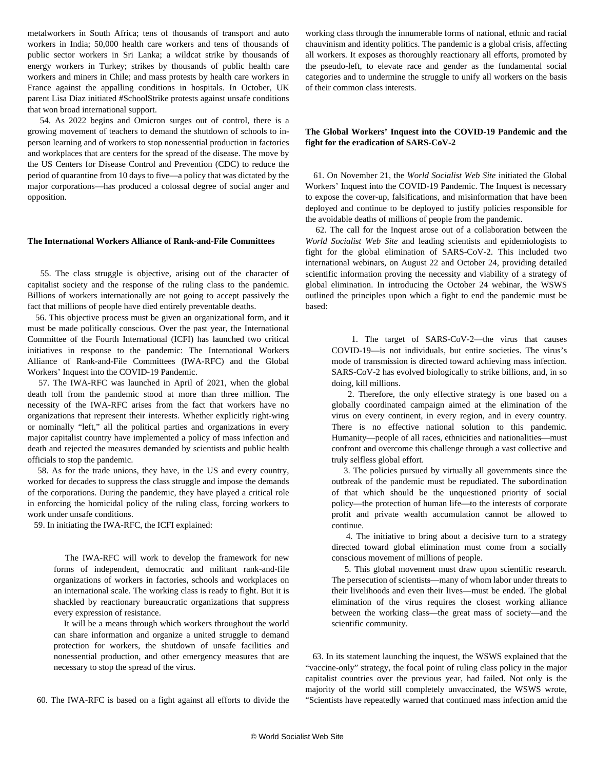metalworkers in South Africa; tens of thousands of transport and auto workers in India; 50,000 health care workers and tens of thousands of public sector workers in Sri Lanka; a wildcat strike by thousands of energy workers in Turkey; strikes by thousands of public health care workers and miners in Chile; and mass protests by health care workers in France against the appalling conditions in hospitals. In October, UK parent Lisa Diaz initiated #SchoolStrike protests against unsafe conditions that won broad international support.

 54. As 2022 begins and Omicron surges out of control, there is a growing movement of teachers to demand the shutdown of schools to inperson learning and of workers to stop nonessential production in factories and workplaces that are centers for the spread of the disease. The move by the US Centers for Disease Control and Prevention (CDC) to reduce the period of quarantine from 10 days to five—a policy that was dictated by the major corporations—has produced a colossal degree of social anger and opposition.

## **The International Workers Alliance of Rank-and-File Committees**

 55. The class struggle is objective, arising out of the character of capitalist society and the response of the ruling class to the pandemic. Billions of workers internationally are not going to accept passively the fact that millions of people have died entirely preventable deaths.

 56. This objective process must be given an organizational form, and it must be made politically conscious. Over the past year, the International Committee of the Fourth International (ICFI) has launched two critical initiatives in response to the pandemic: The International Workers Alliance of Rank-and-File Committees (IWA-RFC) and the Global Workers' Inquest into the COVID-19 Pandemic.

 57. The IWA-RFC was launched in April of 2021, when the global death toll from the pandemic stood at more than three million. The necessity of the IWA-RFC arises from the fact that workers have no organizations that represent their interests. Whether explicitly right-wing or nominally "left," all the political parties and organizations in every major capitalist country have implemented a policy of mass infection and death and rejected the measures demanded by scientists and public health officials to stop the pandemic.

 58. As for the trade unions, they have, in the US and every country, worked for decades to suppress the class struggle and impose the demands of the corporations. During the pandemic, they have played a critical role in enforcing the homicidal policy of the ruling class, forcing workers to work under unsafe conditions.

59. In initiating the IWA-RFC, the ICFI [explained](/en/articles/2021/04/24/pers-a24.html):

 The IWA-RFC will work to develop the framework for new forms of independent, democratic and militant rank-and-file organizations of workers in factories, schools and workplaces on an international scale. The working class is ready to fight. But it is shackled by reactionary bureaucratic organizations that suppress every expression of resistance.

 It will be a means through which workers throughout the world can share information and organize a united struggle to demand protection for workers, the shutdown of unsafe facilities and nonessential production, and other emergency measures that are necessary to stop the spread of the virus.

60. The IWA-RFC is based on a fight against all efforts to divide the

working class through the innumerable forms of national, ethnic and racial chauvinism and identity politics. The pandemic is a global crisis, affecting all workers. It exposes as thoroughly reactionary all efforts, promoted by the pseudo-left, to elevate race and gender as the fundamental social categories and to undermine the struggle to unify all workers on the basis of their common class interests.

# **The Global Workers' Inquest into the COVID-19 Pandemic and the fight for the eradication of SARS-CoV-2**

 61. On November 21, the *World Socialist Web Site* initiated the Global Workers' Inquest into the COVID-19 Pandemic. The Inquest is necessary to expose the cover-up, falsifications, and misinformation that have been deployed and continue to be deployed to justify policies responsible for the avoidable deaths of millions of people from the pandemic.

 62. The call for the Inquest arose out of a collaboration between the *World Socialist Web Site* and leading scientists and epidemiologists to fight for the global elimination of SARS-CoV-2. This included two international webinars, on August 22 and October 24, providing detailed scientific information proving the necessity and viability of a strategy of global elimination. In [introducing the October 24 webinar](/en/articles/2021/10/25/pers-o25.html), the WSWS outlined the principles upon which a fight to end the pandemic must be based:

 1. The target of SARS-CoV-2—the virus that causes COVID-19—is not individuals, but entire societies. The virus's mode of transmission is directed toward achieving mass infection. SARS-CoV-2 has evolved biologically to strike billions, and, in so doing, kill millions.

 2. Therefore, the only effective strategy is one based on a globally coordinated campaign aimed at the elimination of the virus on every continent, in every region, and in every country. There is no effective national solution to this pandemic. Humanity—people of all races, ethnicities and nationalities—must confront and overcome this challenge through a vast collective and truly selfless global effort.

 3. The policies pursued by virtually all governments since the outbreak of the pandemic must be repudiated. The subordination of that which should be the unquestioned priority of social policy—the protection of human life—to the interests of corporate profit and private wealth accumulation cannot be allowed to continue.

 4. The initiative to bring about a decisive turn to a strategy directed toward global elimination must come from a socially conscious movement of millions of people.

 5. This global movement must draw upon scientific research. The persecution of scientists—many of whom labor under threats to their livelihoods and even their lives—must be ended. The global elimination of the virus requires the closest working alliance between the working class—the great mass of society—and the scientific community.

 63. In its [statement launching the inquest](/en/articles/2021/11/22/pers-n22.html), the WSWS explained that the "vaccine-only" strategy, the focal point of ruling class policy in the major capitalist countries over the previous year, had failed. Not only is the majority of the world still completely unvaccinated, the WSWS wrote, "Scientists have repeatedly warned that continued mass infection amid the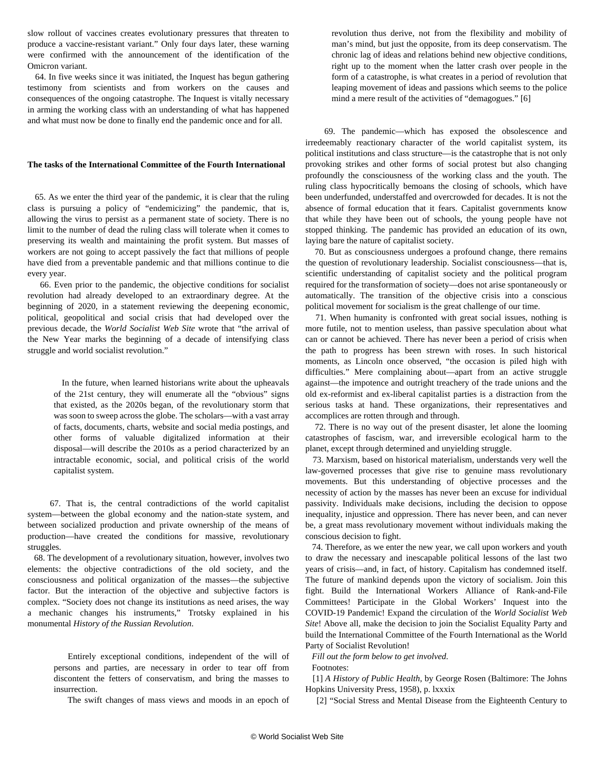slow rollout of vaccines creates evolutionary pressures that threaten to produce a vaccine-resistant variant." Only four days later, these warning were confirmed with the announcement of the identification of the Omicron variant.

 64. In five weeks since it was initiated, the Inquest has begun gathering testimony from scientists and from workers on the causes and consequences of the ongoing catastrophe. The Inquest is vitally necessary in arming the working class with an understanding of what has happened and what must now be done to finally end the pandemic once and for all.

## **The tasks of the International Committee of the Fourth International**

 65. As we enter the third year of the pandemic, it is clear that the ruling class is pursuing a policy of "endemicizing" the pandemic, that is, allowing the virus to persist as a permanent state of society. There is no limit to the number of dead the ruling class will tolerate when it comes to preserving its wealth and maintaining the profit system. But masses of workers are not going to accept passively the fact that millions of people have died from a preventable pandemic and that millions continue to die every year.

 66. Even prior to the pandemic, the objective conditions for socialist revolution had already developed to an extraordinary degree. At the beginning of 2020, in a statement reviewing the deepening economic, political, geopolitical and social crisis that had developed over the previous decade, the *World Socialist Web Site* [wrote](/en/articles/2020/01/03/pers-j03.html) that "the arrival of the New Year marks the beginning of a decade of intensifying class struggle and world socialist revolution."

 In the future, when learned historians write about the upheavals of the 21st century, they will enumerate all the "obvious" signs that existed, as the 2020s began, of the revolutionary storm that was soon to sweep across the globe. The scholars—with a vast array of facts, documents, charts, website and social media postings, and other forms of valuable digitalized information at their disposal—will describe the 2010s as a period characterized by an intractable economic, social, and political crisis of the world capitalist system.

 67. That is, the central contradictions of the world capitalist system—between the global economy and the nation-state system, and between socialized production and private ownership of the means of production—have created the conditions for massive, revolutionary struggles.

 68. The development of a revolutionary situation, however, involves two elements: the objective contradictions of the old society, and the consciousness and political organization of the masses—the subjective factor. But the interaction of the objective and subjective factors is complex. "Society does not change its institutions as need arises, the way a mechanic changes his instruments," Trotsky explained in his monumental *History of the Russian Revolution*.

 Entirely exceptional conditions, independent of the will of persons and parties, are necessary in order to tear off from discontent the fetters of conservatism, and bring the masses to insurrection.

The swift changes of mass views and moods in an epoch of

revolution thus derive, not from the flexibility and mobility of man's mind, but just the opposite, from its deep conservatism. The chronic lag of ideas and relations behind new objective conditions, right up to the moment when the latter crash over people in the form of a catastrophe, is what creates in a period of revolution that leaping movement of ideas and passions which seems to the police mind a mere result of the activities of "demagogues." [6]

 69. The pandemic—which has exposed the obsolescence and irredeemably reactionary character of the world capitalist system, its political institutions and class structure—is the catastrophe that is not only provoking strikes and other forms of social protest but also changing profoundly the consciousness of the working class and the youth. The ruling class hypocritically bemoans the closing of schools, which have been underfunded, understaffed and overcrowded for decades. It is not the absence of formal education that it fears. Capitalist governments know that while they have been out of schools, the young people have not stopped thinking. The pandemic has provided an education of its own, laying bare the nature of capitalist society.

 70. But as consciousness undergoes a profound change, there remains the question of revolutionary leadership. Socialist consciousness—that is, scientific understanding of capitalist society and the political program required for the transformation of society—does not arise spontaneously or automatically. The transition of the objective crisis into a conscious political movement for socialism is the great challenge of our time.

 71. When humanity is confronted with great social issues, nothing is more futile, not to mention useless, than passive speculation about what can or cannot be achieved. There has never been a period of crisis when the path to progress has been strewn with roses. In such historical moments, as Lincoln once observed, "the occasion is piled high with difficulties." Mere complaining about—apart from an active struggle against—the impotence and outright treachery of the trade unions and the old ex-reformist and ex-liberal capitalist parties is a distraction from the serious tasks at hand. These organizations, their representatives and accomplices are rotten through and through.

 72. There is no way out of the present disaster, let alone the looming catastrophes of fascism, war, and irreversible ecological harm to the planet, except through determined and unyielding struggle.

 73. Marxism, based on historical materialism, understands very well the law-governed processes that give rise to genuine mass revolutionary movements. But this understanding of objective processes and the necessity of action by the masses has never been an excuse for individual passivity. Individuals make decisions, including the decision to oppose inequality, injustice and oppression. There has never been, and can never be, a great mass revolutionary movement without individuals making the conscious decision to fight.

 74. Therefore, as we enter the new year, we call upon workers and youth to draw the necessary and inescapable political lessons of the last two years of crisis—and, in fact, of history. Capitalism has condemned itself. The future of mankind depends upon the victory of socialism. Join this fight. Build the International Workers Alliance of Rank-and-File Committees! Participate in the Global Workers' Inquest into the COVID-19 Pandemic! Expand the circulation of the *World Socialist Web Site*! Above all, make the decision to join the Socialist Equality Party and build the International Committee of the Fourth International as the World Party of Socialist Revolution!

*Fill out the form below to get involved.*

Footnotes:

 [1] *A History of Public Health*, by George Rosen (Baltimore: The Johns Hopkins University Press, 1958), p. lxxxix

[2] "Social Stress and Mental Disease from the Eighteenth Century to